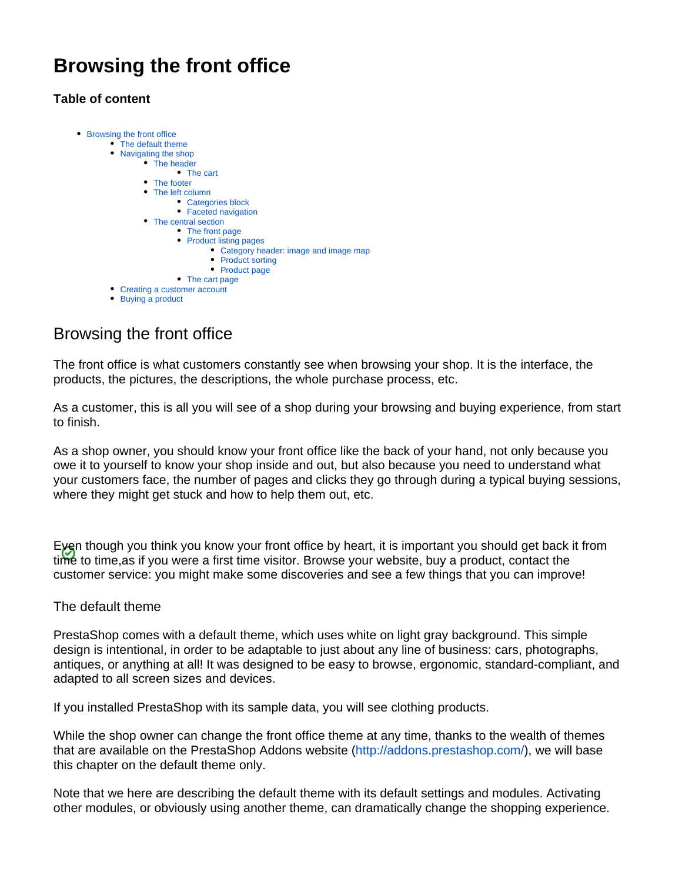# **Browsing the front office**

# **Table of content**



# <span id="page-0-0"></span>Browsing the front office

The front office is what customers constantly see when browsing your shop. It is the interface, the products, the pictures, the descriptions, the whole purchase process, etc.

As a customer, this is all you will see of a shop during your browsing and buying experience, from start to finish.

As a shop owner, you should know your front office like the back of your hand, not only because you owe it to yourself to know your shop inside and out, but also because you need to understand what your customers face, the number of pages and clicks they go through during a typical buying sessions, where they might get stuck and how to help them out, etc.

Even though you think you know your front office by heart, it is important you should get back it from time to time,as if you were a first time visitor. Browse your website, buy a product, contact the customer service: you might make some discoveries and see a few things that you can improve!

# <span id="page-0-1"></span>The default theme

PrestaShop comes with a default theme, which uses white on light gray background. This simple design is intentional, in order to be adaptable to just about any line of business: cars, photographs, antiques, or anything at all! It was designed to be easy to browse, ergonomic, standard-compliant, and adapted to all screen sizes and devices.

If you installed PrestaShop with its sample data, you will see clothing products.

While the shop owner can change the front office theme at any time, thanks to the wealth of themes that are available on the PrestaShop Addons website [\(http://addons.prestashop.com/\)](http://addons.prestashop.com/), we will base this chapter on the default theme only.

<span id="page-0-2"></span>Note that we here are describing the default theme with its default settings and modules. Activating other modules, or obviously using another theme, can dramatically change the shopping experience.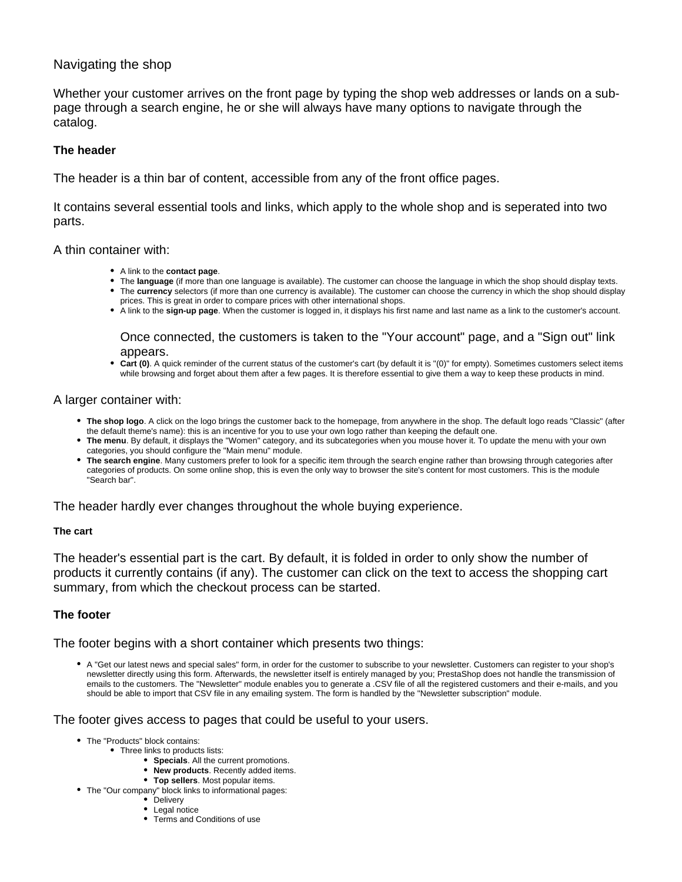# Navigating the shop

Whether your customer arrives on the front page by typing the shop web addresses or lands on a subpage through a search engine, he or she will always have many options to navigate through the catalog.

# <span id="page-1-0"></span>**The header**

The header is a thin bar of content, accessible from any of the front office pages.

It contains several essential tools and links, which apply to the whole shop and is seperated into two parts.

A thin container with:

- A link to the **contact page**.
- The **language** (if more than one language is available). The customer can choose the language in which the shop should display texts.
- The **currency** selectors (if more than one currency is available). The customer can choose the currency in which the shop should display prices. This is great in order to compare prices with other international shops.
- A link to the **sign-up page**. When the customer is logged in, it displays his first name and last name as a link to the customer's account.

Once connected, the customers is taken to the "Your account" page, and a "Sign out" link appears.

**Cart (0)**. A quick reminder of the current status of the customer's cart (by default it is "(0)" for empty). Sometimes customers select items while browsing and forget about them after a few pages. It is therefore essential to give them a way to keep these products in mind.

## A larger container with:

- **The shop logo**. A click on the logo brings the customer back to the homepage, from anywhere in the shop. The default logo reads "Classic" (after the default theme's name): this is an incentive for you to use your own logo rather than keeping the default one.
- **The menu**. By default, it displays the "Women" category, and its subcategories when you mouse hover it. To update the menu with your own categories, you should configure the "Main menu" module.
- **The search engine**. Many customers prefer to look for a specific item through the search engine rather than browsing through categories after categories of products. On some online shop, this is even the only way to browser the site's content for most customers. This is the module "Search bar".

The header hardly ever changes throughout the whole buying experience.

#### <span id="page-1-1"></span>**The cart**

The header's essential part is the cart. By default, it is folded in order to only show the number of products it currently contains (if any). The customer can click on the text to access the shopping cart summary, from which the checkout process can be started.

# <span id="page-1-2"></span>**The footer**

The footer begins with a short container which presents two things:

A "Get our latest news and special sales" form, in order for the customer to subscribe to your newsletter. Customers can register to your shop's newsletter directly using this form. Afterwards, the newsletter itself is entirely managed by you; PrestaShop does not handle the transmission of emails to the customers. The "Newsletter" module enables you to generate a .CSV file of all the registered customers and their e-mails, and you should be able to import that CSV file in any emailing system. The form is handled by the "Newsletter subscription" module.

The footer gives access to pages that could be useful to your users.

- The "Products" block contains:
	- Three links to products lists:
		- **Specials**. All the current promotions.
		- **New products**. Recently added items.
		- **Top sellers**. Most popular items.
- The "Our company" block links to informational pages:
	- Delivery
	- Legal notice
	- Terms and Conditions of use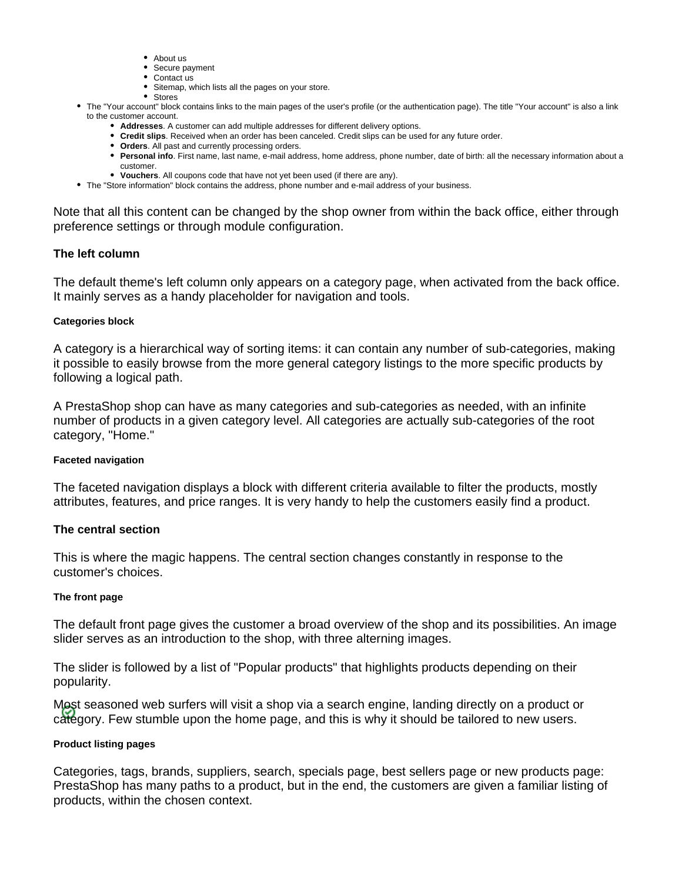- About us
- Secure payment
- Contact us
- Sitemap, which lists all the pages on your store. • Stores
- The "Your account" block contains links to the main pages of the user's profile (or the authentication page). The title "Your account" is also a link to the customer account.
	- **Addresses**. A customer can add multiple addresses for different delivery options.
	- **Credit slips**. Received when an order has been canceled. Credit slips can be used for any future order.
	- **Orders**. All past and currently processing orders.
	- **Personal info**. First name, last name, e-mail address, home address, phone number, date of birth: all the necessary information about a customer.
	- **Vouchers**. All coupons code that have not yet been used (if there are any).
- The "Store information" block contains the address, phone number and e-mail address of your business.

Note that all this content can be changed by the shop owner from within the back office, either through preference settings or through module configuration.

# <span id="page-2-0"></span>**The left column**

The default theme's left column only appears on a category page, when activated from the back office. It mainly serves as a handy placeholder for navigation and tools.

## <span id="page-2-1"></span>**Categories block**

A category is a hierarchical way of sorting items: it can contain any number of sub-categories, making it possible to easily browse from the more general category listings to the more specific products by following a logical path.

A PrestaShop shop can have as many categories and sub-categories as needed, with an infinite number of products in a given category level. All categories are actually sub-categories of the root category, "Home."

#### <span id="page-2-2"></span>**Faceted navigation**

The faceted navigation displays a block with different criteria available to filter the products, mostly attributes, features, and price ranges. It is very handy to help the customers easily find a product.

# <span id="page-2-3"></span>**The central section**

This is where the magic happens. The central section changes constantly in response to the customer's choices.

#### <span id="page-2-4"></span>**The front page**

The default front page gives the customer a broad overview of the shop and its possibilities. An image slider serves as an introduction to the shop, with three alterning images.

The slider is followed by a list of "Popular products" that highlights products depending on their popularity.

Most seasoned web surfers will visit a shop via a search engine, landing directly on a product or category. Few stumble upon the home page, and this is why it should be tailored to new users.

#### <span id="page-2-5"></span>**Product listing pages**

Categories, tags, brands, suppliers, search, specials page, best sellers page or new products page: PrestaShop has many paths to a product, but in the end, the customers are given a familiar listing of products, within the chosen context.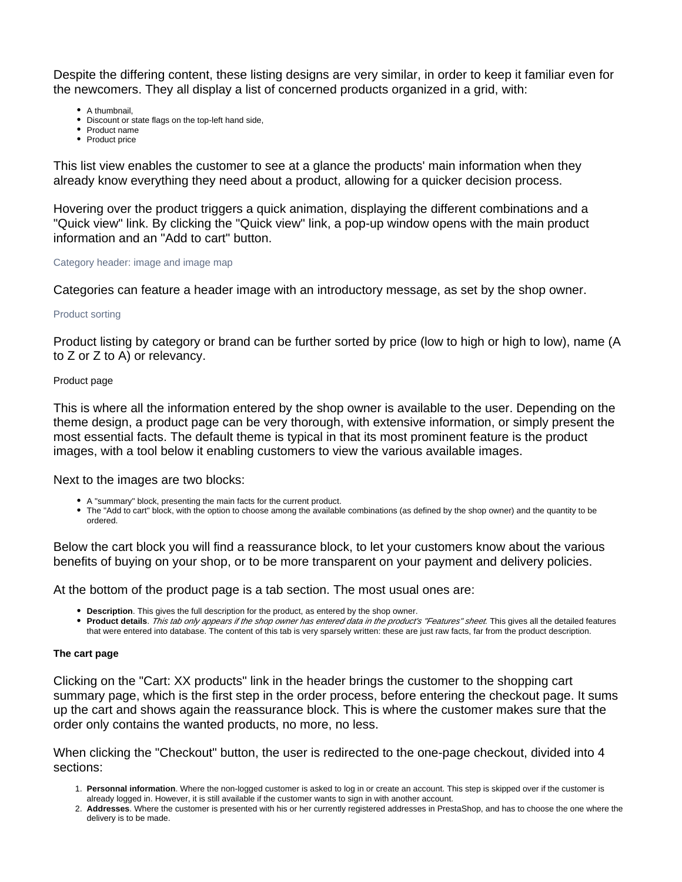Despite the differing content, these listing designs are very similar, in order to keep it familiar even for the newcomers. They all display a list of concerned products organized in a grid, with:

- A thumbnail,
- Discount or state flags on the top-left hand side,
- Product name
- Product price

This list view enables the customer to see at a glance the products' main information when they already know everything they need about a product, allowing for a quicker decision process.

Hovering over the product triggers a quick animation, displaying the different combinations and a "Quick view" link. By clicking the "Quick view" link, a pop-up window opens with the main product information and an "Add to cart" button.

#### <span id="page-3-0"></span>Category header: image and image map

Categories can feature a header image with an introductory message, as set by the shop owner.

#### <span id="page-3-1"></span>Product sorting

Product listing by category or brand can be further sorted by price (low to high or high to low), name (A to Z or Z to A) or relevancy.

#### <span id="page-3-2"></span>Product page

This is where all the information entered by the shop owner is available to the user. Depending on the theme design, a product page can be very thorough, with extensive information, or simply present the most essential facts. The default theme is typical in that its most prominent feature is the product images, with a tool below it enabling customers to view the various available images.

Next to the images are two blocks:

- A "summary" block, presenting the main facts for the current product.
- The "Add to cart" block, with the option to choose among the available combinations (as defined by the shop owner) and the quantity to be ordered.

Below the cart block you will find a reassurance block, to let your customers know about the various benefits of buying on your shop, or to be more transparent on your payment and delivery policies.

At the bottom of the product page is a tab section. The most usual ones are:

- **Description**. This gives the full description for the product, as entered by the shop owner.
- **Product details**. This tab only appears if the shop owner has entered data in the product's "Features" sheet. This gives all the detailed features that were entered into database. The content of this tab is very sparsely written: these are just raw facts, far from the product description.

#### <span id="page-3-3"></span>**The cart page**

Clicking on the "Cart: XX products" link in the header brings the customer to the shopping cart summary page, which is the first step in the order process, before entering the checkout page. It sums up the cart and shows again the reassurance block. This is where the customer makes sure that the order only contains the wanted products, no more, no less.

When clicking the "Checkout" button, the user is redirected to the one-page checkout, divided into 4 sections:

- 1. **Personnal information**. Where the non-logged customer is asked to log in or create an account. This step is skipped over if the customer is already logged in. However, it is still available if the customer wants to sign in with another account.
- 2. **Addresses**. Where the customer is presented with his or her currently registered addresses in PrestaShop, and has to choose the one where the delivery is to be made.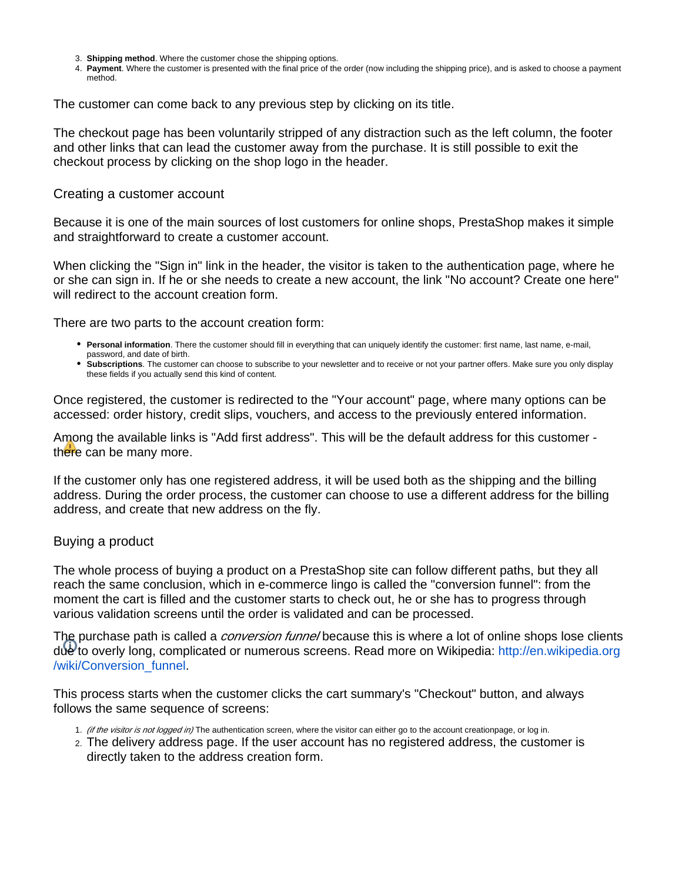- 3. **Shipping method**. Where the customer chose the shipping options.
- 4. **Payment**. Where the customer is presented with the final price of the order (now including the shipping price), and is asked to choose a payment method.

The customer can come back to any previous step by clicking on its title.

The checkout page has been voluntarily stripped of any distraction such as the left column, the footer and other links that can lead the customer away from the purchase. It is still possible to exit the checkout process by clicking on the shop logo in the header.

#### <span id="page-4-0"></span>Creating a customer account

Because it is one of the main sources of lost customers for online shops, PrestaShop makes it simple and straightforward to create a customer account.

When clicking the "Sign in" link in the header, the visitor is taken to the authentication page, where he or she can sign in. If he or she needs to create a new account, the link "No account? Create one here" will redirect to the account creation form.

There are two parts to the account creation form:

- **Personal information**. There the customer should fill in everything that can uniquely identify the customer: first name, last name, e-mail, password, and date of birth.
- **Subscriptions**. The customer can choose to subscribe to your newsletter and to receive or not your partner offers. Make sure you only display these fields if you actually send this kind of content.

Once registered, the customer is redirected to the "Your account" page, where many options can be accessed: order history, credit slips, vouchers, and access to the previously entered information.

Among the available links is "Add first address". This will be the default address for this customer there can be many more.

If the customer only has one registered address, it will be used both as the shipping and the billing address. During the order process, the customer can choose to use a different address for the billing address, and create that new address on the fly.

# <span id="page-4-1"></span>Buying a product

The whole process of buying a product on a PrestaShop site can follow different paths, but they all reach the same conclusion, which in e-commerce lingo is called the "conversion funnel": from the moment the cart is filled and the customer starts to check out, he or she has to progress through various validation screens until the order is validated and can be processed.

The purchase path is called a *conversion funnel* because this is where a lot of online shops lose clients due to overly long, complicated or numerous screens. Read more on Wikipedia: [http://en.wikipedia.org](http://en.wikipedia.org/wiki/Conversion_funnel) [/wiki/Conversion\\_funnel.](http://en.wikipedia.org/wiki/Conversion_funnel)

This process starts when the customer clicks the cart summary's "Checkout" button, and always follows the same sequence of screens:

- 1. (if the visitor is not logged in) The authentication screen, where the visitor can either go to the account creationpage, or log in.
- 2. The delivery address page. If the user account has no registered address, the customer is directly taken to the address creation form.